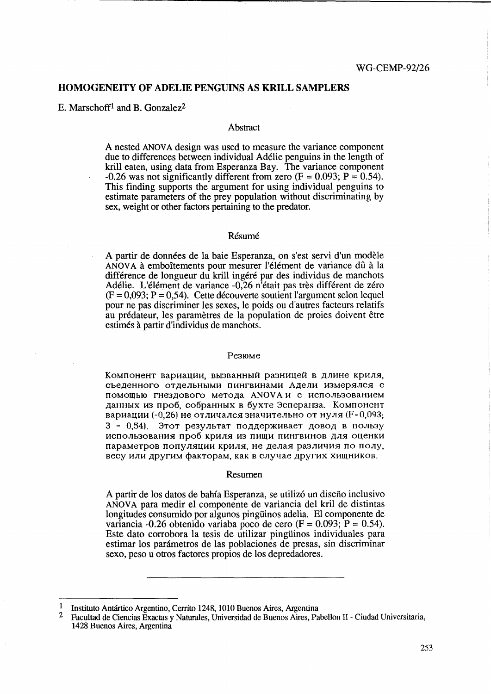# HOMOGENEITY OF ADELIE PENGUINS AS KRILL SAMPLERS

E. Marschoff<sup>1</sup> and B. Gonzalez<sup>2</sup>

### **Abstract**

A nested ANOVA design was used to measure the variance component due to differences between individual Adelie penguins in the length of kriU eaten, using data from Esperanza Bay. The variance component -0.26 was not significantly different from zero  $(F = 0.093; P = 0.54)$ . This finding supports the argument for using individual penguins to estimate parameters of the prey population without discriminating by sex, weight or other factors pertaining to the predator.

### Résumé

A partir de donnees de la baie Esperanza, on s'est servi d'un modele ANOVA à emboîtements pour mesurer l'élément de variance dû à la différence de longueur du krill ingéré par des individus de manchots Adélie. L'élément de variance -0,26 n<sup>'</sup>était pas très différent de zéro  $(F = 0.093; P = 0.54)$ . Cette découverte soutient l'argument selon lequel pour ne pas discriminer les sexes, le poids ou d'autres facteurs relatifs au prédateur, les paramètres de la population de proies doivent être estimes a partir d'individus de manchots.

#### Резюме

Компонент вариации, вызванный разницей в длине криля, съеденного отдельными пингвинами Адели измерялся с помощью гнездового метода ANOVA и с использованием данных из проб, собранных в бухте Эсперанза. Компонент вариации (-0,26) не отличался значительно от нуля (F=0,093; 3 = 0.54). Этот результат поддерживает довод в пользу использования проб криля из пищи пингвинов для оценки параметров популяции криля, не делая различия по полу, весу или другим факторам, как в случае других хищников.

#### Resumen

A partir de los datos de bahfa Esperanza, se utiliz6 un disefio inclusivo ANOV A para medir el componente de variancia del kril de distintas longitudes consumido por algunos pingtiinos adelia. El componente de variancia -0.26 obtenido variaba poco de cero (F =  $0.093$ ; P = 0.54). Este dato corrobora la tesis de utilizar pingiiinos individuales para estimar los parámetros de las poblaciones de presas, sin discriminar sexo, peso u otros factores propios de los depredadores.

<sup>1</sup> Instituto Antártico Argentino, Cerrito 1248, 1010 Buenos Aires, Argentina<br>2 Instituto de Giancias Exectas y Naturales, Universidad de Buenos Aires, Pa

<sup>2</sup> Facultad de Ciencias Exactas y Naturales, Universidad de Buenos Aires, Pabellon 11 - Ciudad Universitaria, 1428 Buenos Aires, Argentina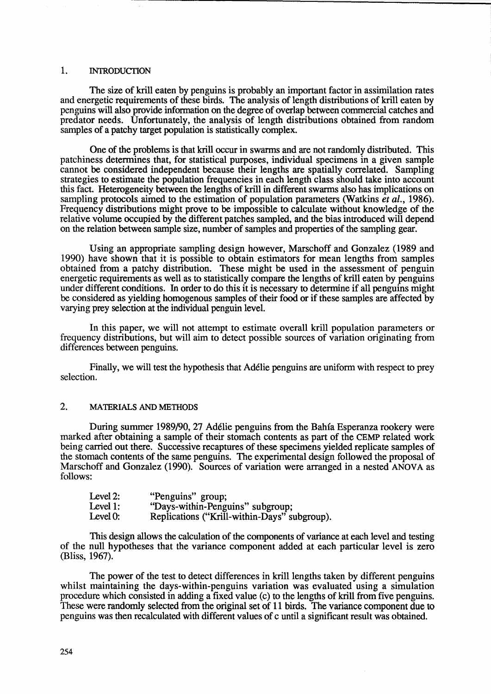## 1. INTRODUCTION

The size of krill eaten by penguins is probably an important factor in assimilation rates and energetic requirements of these birds. The analysis of length distributions of krill eaten by penguins will also provide information on the degree of overlap between commercial catches and predator needs. Unfortunately, the analysis of length distributions obtained from random samples of a patchy target population is statistically complex.

One of the problems is that kriU occur in swarms and are not randomly distributed. This patchiness detennines that, for statistical purposes, individual specimens in a given sample cannot be considered independent because their lengths are spatially correlated. Sampling strategies to estimate the population frequencies in each length class should take into account this fact. Heterogeneity between the lengths of krill in different swarms also has implications on sampling protocols aimed to the estimation of population parameters (Watkins *et al., 1986).*  Frequency distributions might prove to be impossible to calculate without knowledge of the relative volume occupied by the different patches sampled, and the bias introduced will depend on the relation between sample size, number of samples and properties of the sampling gear.

Using an appropriate sampling design however, Marschoff and Gonzalez (1989 and 1990) have shown that it is possible to obtain estimators for mean lengths from samples obtained from a patchy distribution. These might be used in the assessment of penguin energetic requirements as well as to statistically compare the lengths of krill eaten by penguins under different conditions. In order to do this it is necessary to determine if all penguins might be considered as yielding homogenous samples of their food or if these samples are affected by varying prey selection at the individual penguin level.

In this paper, we will not attempt to estimate overall krill population parameters or frequency distributions, but will aim to detect possible sources of variation originating from differences between penguins.

Finally, we will test the hypothesis that Ad6lie penguins are uniform with respect to prey selection.

### 2. MATERIALS AND METHODS

During summer 1989/90, 27 Ad6lie penguins from the Bahia Esperanza rookery were marked after obtaining a sample of their stomach contents as part of the CEMP related work being carried out there. Successive recaptures of these specimens yielded replicate samples of the stomach contents of the same penguins. The experimental design followed the proposal of Marschoff and Gonzalez (1990). Sources of variation were arranged in a nested ANOVA as follows:

| Level 2: | "Penguins" group;                            |
|----------|----------------------------------------------|
| Level 1: | "Days-within-Penguins" subgroup;             |
| Level 0: | Replications ("Krill-within-Days" subgroup). |

This design allows the calculation of the components of variance at each level and testing of the null hypotheses that the variance component added at each particular level is zero (Bliss, 1967).

The power of the test to detect differences in krill lengths taken by different penguins whilst maintaining the days-within-penguins variation was evaluated using a simulation procedure which consisted in adding a fixed value (c) to the lengths of kriU from five penguins. These were randomly selected from the original set of 11 birds. The variance component due to penguins was then recalculated with different values of c until a significant result was obtained.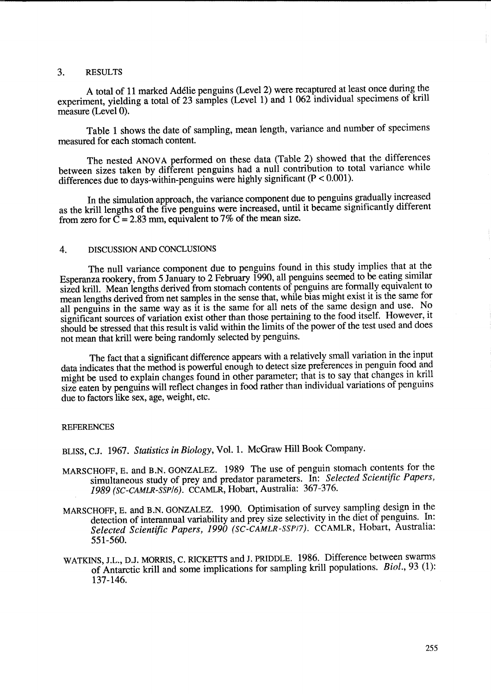## 3. RESULTS

A total of 11 marked Ad6lie penguins (Level 2) were recaptured at least once during the experiment, yielding a total of 23 samples (Level 1) and 1 062 individual specimens of krill measure (Level 0).

Table 1 shows the date of sampling, mean length, variance and number of specimens measured for each stomach content.

The nested ANOVA performed on these data (Table 2) showed that the differences between sizes taken by different penguins had a null contribution to total variance while differences due to days-within-penguins were highly significant (P < 0.001).

In the simulation approach, the variance component due to penguins gradually increased as the krill lengths of the five penguins were increased, until it became significantly different from zero for  $\overline{C} = 2.83$  mm, equivalent to 7% of the mean size.

# 4. DISCUSSION AND CONCLUSIONS

The null variance component due to penguins found in this study implies that at the Esperanza rookery, from 5 January to 2 February 1990, all penguins seemed to be eating similar sized krill. Mean lengths derived from stomach contents of penguins are formally equivalent to mean lengths derived from net samples in the sense that, while bias might exist it is the same for all penguins in the same way as it is the same for all nets of the same design and use. No significant sources of variation exist other than those pertaining to the food itself. However, it should be stressed that this result is valid within the limits of the power of the test used and does not mean that krill were being randomly selected by penguins.

The fact that a significant difference appears with a relatively small variation in the input data indicates that the method is powerful enough to detect size preferences in penguin food and might be used to explain changes found in other parameter; that is to say that changes in krill size eaten by penguins will reflect changes in food rather than individual variations of penguins due to factors like sex, age, weight, etc.

#### REFERENCES

BLISS, C.J. 1967. *Statistics in Biology,* Vol. 1. McGraw Hill Book Company.

- MARSCHOFF, E. and B.N. GONZALEZ. 1989 The use of penguin stomach contents for the simultaneous study of prey and predator parameters. In: *Selected Scientific Papers, 1989 (SC-CAMLR-SSP/6).* CCAMLR, Hobart, Australia: 367-376.
- MARSCHOFF, E. and B.N. GONZALEZ. 1990. Optimisation of survey sampling design in the detection of interannual variability and prey size selectivity in the diet of penguins. In: Selected Scientific Papers, 1990 (SC-CAMLR-SSP<sub>/7</sub>). CCAMLR, Hobart, Australia: 551-560.
- WATKINS, J.L., D.J. MORRIS, C. RICKETTS and J. PRIDDLE. 1986. Difference between swarms of Antarctic krill and some implications for sampling krill populations. *BioI.,* 93 (1): 137-146.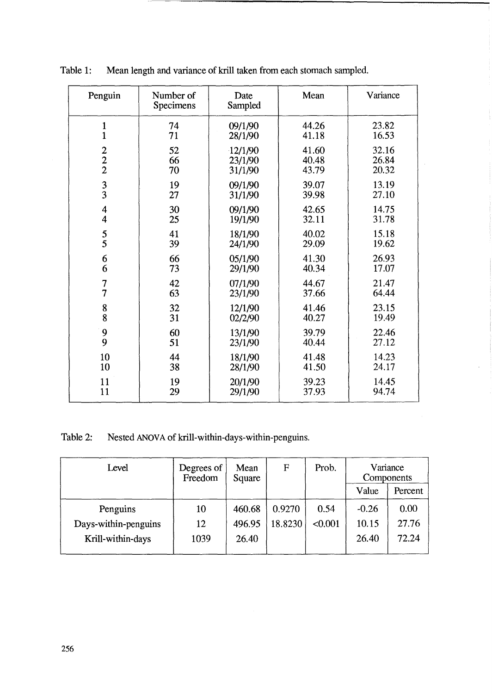| Penguin                 | Number of<br>Specimens | Date<br>Sampled | Mean  | Variance |  |
|-------------------------|------------------------|-----------------|-------|----------|--|
| $\mathbf{1}$            | 74                     | 09/1/90         | 44.26 | 23.82    |  |
| $\mathbf{1}$            | 71                     | 28/1/90         | 41.18 | 16.53    |  |
| $\frac{2}{2}$           | 52                     | 12/1/90         | 41.60 | 32.16    |  |
|                         | 66                     | 23/1/90         | 40.48 | 26.84    |  |
|                         | 70                     | 31/1/90         | 43.79 | 20.32    |  |
| $\frac{3}{3}$           | 19                     | 09/1/90         | 39.07 | 13.19    |  |
|                         | 27                     | 31/1/90         | 39.98 | 27.10    |  |
| $\overline{\mathbf{4}}$ | 30                     | 09/1/90         | 42.65 | 14.75    |  |
| $\overline{\mathbf{4}}$ | 25                     | 19/1/90         | 32.11 | 31.78    |  |
| $\frac{5}{5}$           | 41                     | 18/1/90         | 40.02 | 15.18    |  |
|                         | 39                     | 24/1/90         | 29.09 | 19.62    |  |
| 6                       | 66                     | 05/1/90         | 41.30 | 26.93    |  |
| 6                       | 73                     | 29/1/90         | 40.34 | 17.07    |  |
| $\overline{7}$          | 42                     | 07/1/90         | 44.67 | 21.47    |  |
| $\overline{7}$          | 63                     | 23/1/90         | 37.66 | 64.44    |  |
| 8                       | 32                     | 12/1/90         | 41.46 | 23.15    |  |
| 8                       | 31                     | 02/2/90         | 40.27 | 19.49    |  |
| 9                       | 60                     | 13/1/90         | 39.79 | 22.46    |  |
| 9                       | 51                     | 23/1/90         | 40.44 | 27.12    |  |
| 10                      | 44                     | 18/1/90         | 41.48 | 14.23    |  |
| 10                      | 38                     | 28/1/90         | 41.50 | 24.17    |  |
| 11                      | 19                     | 20/1/90         | 39.23 | 14.45    |  |
| 11                      | 29                     | 29/1/90         | 37.93 | 94.74    |  |

 $\bar{L}$ 

Table 1: Mean length and variance of krill taken from each stomach sampled.

Table 2: Nested ANOVA of krill-within-days-within-penguins.

| Level                | Degrees of<br>Freedom | Mean<br>Square | $\mathbf F$ | Prob.   | Variance<br>Components |         |
|----------------------|-----------------------|----------------|-------------|---------|------------------------|---------|
|                      |                       |                |             |         | Value                  | Percent |
| Penguins             | 10                    | 460.68         | 0.9270      | 0.54    | $-0.26$                | 0.00    |
| Days-within-penguins | 12                    | 496.95         | 18.8230     | < 0.001 | 10.15                  | 27.76   |
| Krill-within-days    | 1039                  | 26.40          |             |         | 26.40                  | 72.24   |
|                      |                       |                |             |         |                        |         |